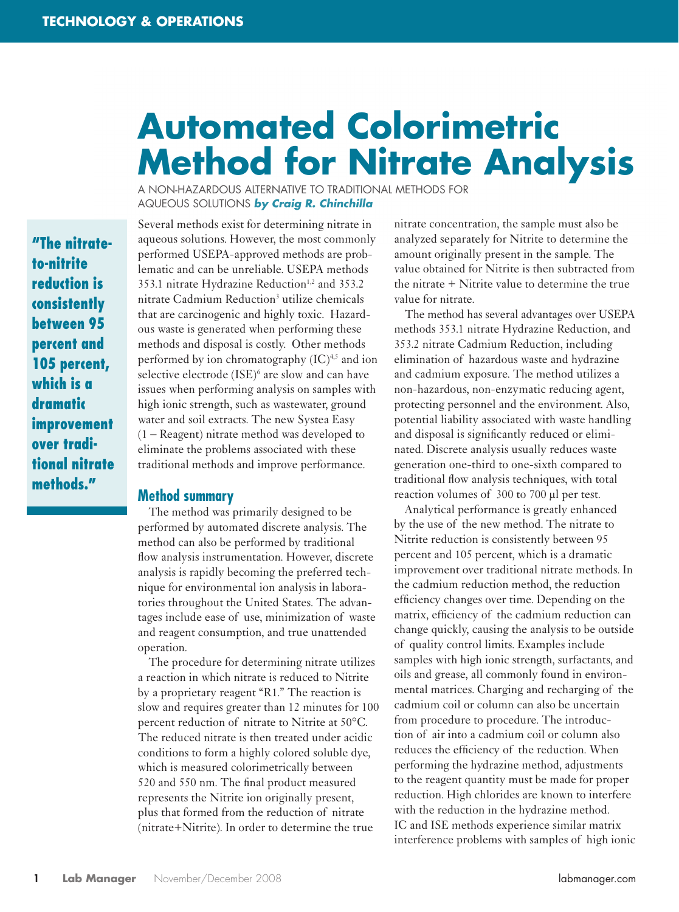# **Automated Colorimetric Method for Nitrate Analysis**

A NON-HAZARDOUS ALTERNATIVE TO TRADITIONAL METHODS FOR AQUEOUS SOLUTIONS *by Craig R. Chinchilla*

**"The nitrateto-nitrite reduction is consistently between 95 percent and 105 percent, which is a dramatic improvement over traditional nitrate methods."** 

Several methods exist for determining nitrate in aqueous solutions. However, the most commonly performed USEPA-approved methods are problematic and can be unreliable. USEPA methods 353.1 nitrate Hydrazine Reduction<sup>1,2</sup> and 353.2 nitrate Cadmium Reduction<sup>3</sup> utilize chemicals that are carcinogenic and highly toxic. Hazardous waste is generated when performing these methods and disposal is costly. Other methods performed by ion chromatography  $(IC)^{4,5}$  and ion selective electrode (ISE)<sup>6</sup> are slow and can have issues when performing analysis on samples with high ionic strength, such as wastewater, ground water and soil extracts. The new Systea Easy (1 – Reagent) nitrate method was developed to eliminate the problems associated with these traditional methods and improve performance.

#### **Method summary**

The method was primarily designed to be performed by automated discrete analysis. The method can also be performed by traditional flow analysis instrumentation. However, discrete analysis is rapidly becoming the preferred technique for environmental ion analysis in laboratories throughout the United States. The advantages include ease of use, minimization of waste and reagent consumption, and true unattended operation.

The procedure for determining nitrate utilizes a reaction in which nitrate is reduced to Nitrite by a proprietary reagent "R1." The reaction is slow and requires greater than 12 minutes for 100 percent reduction of nitrate to Nitrite at 50°C. The reduced nitrate is then treated under acidic conditions to form a highly colored soluble dye, which is measured colorimetrically between 520 and 550 nm. The final product measured represents the Nitrite ion originally present, plus that formed from the reduction of nitrate (nitrate+Nitrite). In order to determine the true

nitrate concentration, the sample must also be analyzed separately for Nitrite to determine the amount originally present in the sample. The value obtained for Nitrite is then subtracted from the nitrate + Nitrite value to determine the true value for nitrate.

The method has several advantages over USEPA methods 353.1 nitrate Hydrazine Reduction, and 353.2 nitrate Cadmium Reduction, including elimination of hazardous waste and hydrazine and cadmium exposure. The method utilizes a non-hazardous, non-enzymatic reducing agent, protecting personnel and the environment. Also, potential liability associated with waste handling and disposal is significantly reduced or eliminated. Discrete analysis usually reduces waste generation one-third to one-sixth compared to traditional flow analysis techniques, with total reaction volumes of 300 to 700 µl per test.

Analytical performance is greatly enhanced by the use of the new method. The nitrate to Nitrite reduction is consistently between 95 percent and 105 percent, which is a dramatic improvement over traditional nitrate methods. In the cadmium reduction method, the reduction efficiency changes over time. Depending on the matrix, efficiency of the cadmium reduction can change quickly, causing the analysis to be outside of quality control limits. Examples include samples with high ionic strength, surfactants, and oils and grease, all commonly found in environmental matrices. Charging and recharging of the cadmium coil or column can also be uncertain from procedure to procedure. The introduction of air into a cadmium coil or column also reduces the efficiency of the reduction. When performing the hydrazine method, adjustments to the reagent quantity must be made for proper reduction. High chlorides are known to interfere with the reduction in the hydrazine method. IC and ISE methods experience similar matrix interference problems with samples of high ionic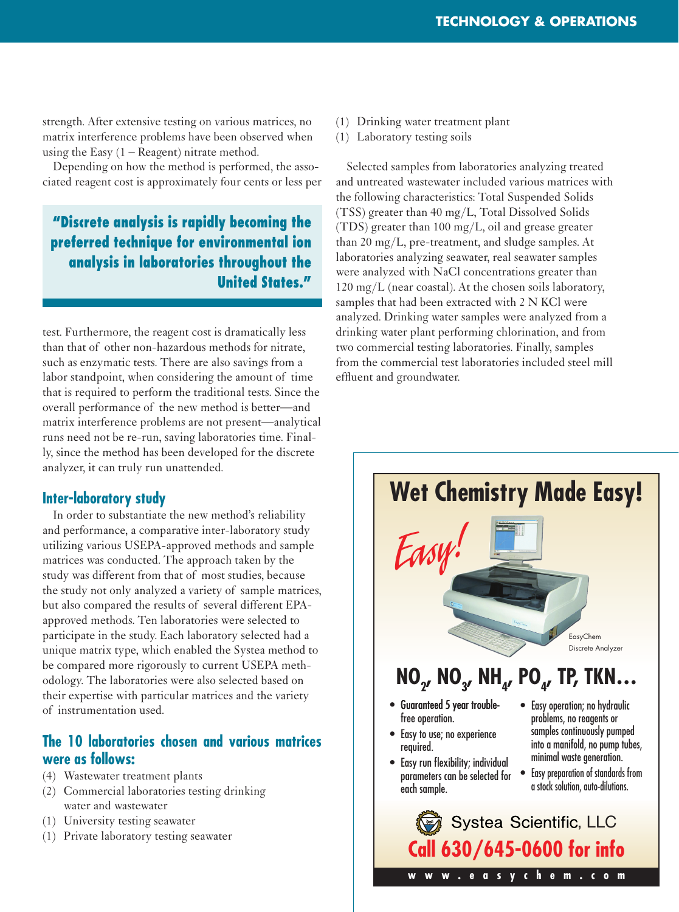strength. After extensive testing on various matrices, no matrix interference problems have been observed when using the Easy  $(1 - \text{Reagent})$  nitrate method.

Depending on how the method is performed, the associated reagent cost is approximately four cents or less per

## **"Discrete analysis is rapidly becoming the preferred technique for environmental ion analysis in laboratories throughout the United States."**

test. Furthermore, the reagent cost is dramatically less than that of other non-hazardous methods for nitrate, such as enzymatic tests. There are also savings from a labor standpoint, when considering the amount of time that is required to perform the traditional tests. Since the overall performance of the new method is better—and matrix interference problems are not present—analytical runs need not be re-run, saving laboratories time. Finally, since the method has been developed for the discrete analyzer, it can truly run unattended.

### **Inter-laboratory study**

In order to substantiate the new method's reliability and performance, a comparative inter-laboratory study utilizing various USEPA-approved methods and sample matrices was conducted. The approach taken by the study was different from that of most studies, because the study not only analyzed a variety of sample matrices, but also compared the results of several different EPAapproved methods. Ten laboratories were selected to participate in the study. Each laboratory selected had a unique matrix type, which enabled the Systea method to be compared more rigorously to current USEPA methodology. The laboratories were also selected based on their expertise with particular matrices and the variety of instrumentation used.

## **The 10 laboratories chosen and various matrices were as follows:**

- (4) Wastewater treatment plants
- (2) Commercial laboratories testing drinking water and wastewater
- (1) University testing seawater
- (1) Private laboratory testing seawater
- (1) Drinking water treatment plant
- (1) Laboratory testing soils

Selected samples from laboratories analyzing treated and untreated wastewater included various matrices with the following characteristics: Total Suspended Solids (TSS) greater than 40 mg/L, Total Dissolved Solids (TDS) greater than 100 mg/L, oil and grease greater than 20 mg/L, pre-treatment, and sludge samples. At laboratories analyzing seawater, real seawater samples were analyzed with NaCl concentrations greater than 120 mg/L (near coastal). At the chosen soils laboratory, samples that had been extracted with 2 N KCl were analyzed. Drinking water samples were analyzed from a drinking water plant performing chlorination, and from two commercial testing laboratories. Finally, samples from the commercial test laboratories included steel mill effluent and groundwater.

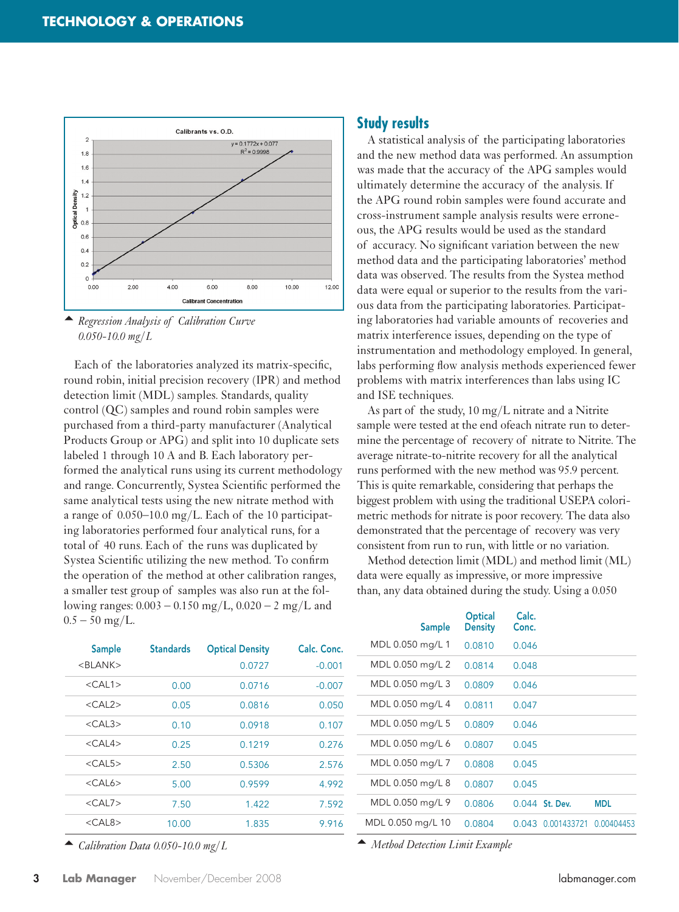



Each of the laboratories analyzed its matrix-specific, round robin, initial precision recovery (IPR) and method detection limit (MDL) samples. Standards, quality control (QC) samples and round robin samples were purchased from a third-party manufacturer (Analytical Products Group or APG) and split into 10 duplicate sets labeled 1 through 10 A and B. Each laboratory performed the analytical runs using its current methodology and range. Concurrently, Systea Scientific performed the same analytical tests using the new nitrate method with a range of 0.050–10.0 mg/L. Each of the 10 participating laboratories performed four analytical runs, for a total of 40 runs. Each of the runs was duplicated by Systea Scientific utilizing the new method. To confirm the operation of the method at other calibration ranges, a smaller test group of samples was also run at the following ranges:  $0.003 - 0.150$  mg/L,  $0.020 - 2$  mg/L and  $0.5 - 50$  mg/L.

#### **Study results**

A statistical analysis of the participating laboratories and the new method data was performed. An assumption was made that the accuracy of the APG samples would ultimately determine the accuracy of the analysis. If the APG round robin samples were found accurate and cross-instrument sample analysis results were erroneous, the APG results would be used as the standard of accuracy. No significant variation between the new method data and the participating laboratories' method data was observed. The results from the Systea method data were equal or superior to the results from the various data from the participating laboratories. Participating laboratories had variable amounts of recoveries and matrix interference issues, depending on the type of instrumentation and methodology employed. In general, labs performing flow analysis methods experienced fewer problems with matrix interferences than labs using IC and ISE techniques.

As part of the study, 10 mg/L nitrate and a Nitrite sample were tested at the end ofeach nitrate run to determine the percentage of recovery of nitrate to Nitrite. The average nitrate-to-nitrite recovery for all the analytical runs performed with the new method was 95.9 percent. This is quite remarkable, considering that perhaps the biggest problem with using the traditional USEPA colorimetric methods for nitrate is poor recovery. The data also demonstrated that the percentage of recovery was very consistent from run to run, with little or no variation.

Method detection limit (MDL) and method limit (ML) data were equally as impressive, or more impressive than, any data obtained during the study. Using a 0.050

| <b>Sample</b><br>$<$ BLANK $>$ | <b>Standards</b> | <b>Optical Density</b><br>0.0727 | Calc. Conc.<br>$-0.001$ |
|--------------------------------|------------------|----------------------------------|-------------------------|
| $<$ CAL1>                      | 0.00             | 0.0716                           | $-0.007$                |
| $<$ CAL2>                      | 0.05             | 0.0816                           | 0.050                   |
| $<$ CAL3 $>$                   | 0.10             | 0.0918                           | 0.107                   |
| $<$ CAL4 $>$                   | 0.25             | 0.1219                           | 0.276                   |
| $<$ CAL5 $>$                   | 2.50             | 0.5306                           | 2.576                   |
| $\langle$ CAI 6 $>$            | 5.00             | 0,9599                           | 4.992                   |
| $<$ CAL7 $>$                   | 7.50             | 1.422                            | 7.592                   |
| $<$ CAL8 $>$                   | 10.00            | 1.835                            | 9.916                   |
|                                |                  |                                  |                         |

 *Calibration Data 0.050-10.0 mg/L*

| Sample            | Optical<br><b>Density</b> | Calc.<br>Conc. |                |            |
|-------------------|---------------------------|----------------|----------------|------------|
| MDL 0.050 mg/L 1  | 0.0810                    | 0.046          |                |            |
| MDL 0.050 mg/L 2  | 0.0814                    | 0.048          |                |            |
| MDL 0.050 mg/L 3  | 0.0809                    | 0.046          |                |            |
| MDL 0.050 mg/L 4  | 0.0811                    | 0.047          |                |            |
| MDL 0.050 mg/L 5  | 0.0809                    | 0.046          |                |            |
| MDL 0.050 mg/L 6  | 0.0807                    | 0.045          |                |            |
| MDL 0.050 mg/L 7  | 0.0808                    | 0.045          |                |            |
| MDL 0.050 mg/L 8  | 0.0807                    | 0.045          |                |            |
| MDL 0.050 mg/L 9  | 0.0806                    |                | 0.044 St. Dev. | MDL        |
| MDL 0.050 mg/L 10 | 0.0804                    | 0.043          | 0.001433721    | 0.00404453 |

 *Method Detection Limit Example*